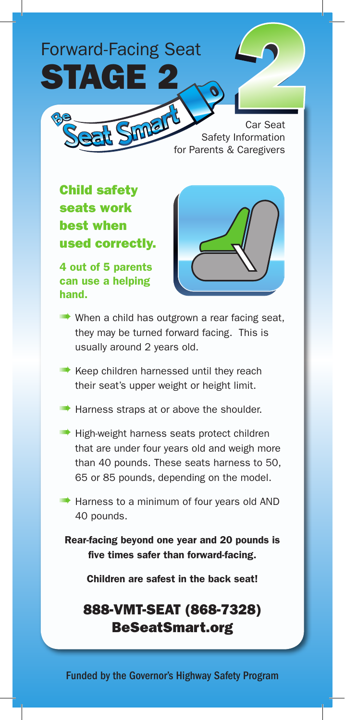# Forward-Facing Seat STAGE 2

Car Seat **Sinner** Car Seat Safety Information for Parents & Caregivers

Child safety seats work best when used correctly.

4 out of 5 parents can use a helping hand.



**IIII•** When a child has outgrown a rear facing seat, they may be turned forward facing. This is usually around 2 years old.

**IIII•** Keep children harnessed until they reach their seat's upper weight or height limit.

- **IIIII•** Harness straps at or above the shoulder.
- **IIII•** High-weight harness seats protect children that are under four years old and weigh more than 40 pounds. These seats harness to 50, 65 or 85 pounds, depending on the model.

**III** Harness to a minimum of four years old AND 40 pounds.

Rear-facing beyond one year and 20 pounds is five times safer than forward-facing.

Children are safest in the back seat!

### 888-VMT-SEAT (868-7328) BeSeatSmart.org

Funded by the Governor's Highway Safety Program